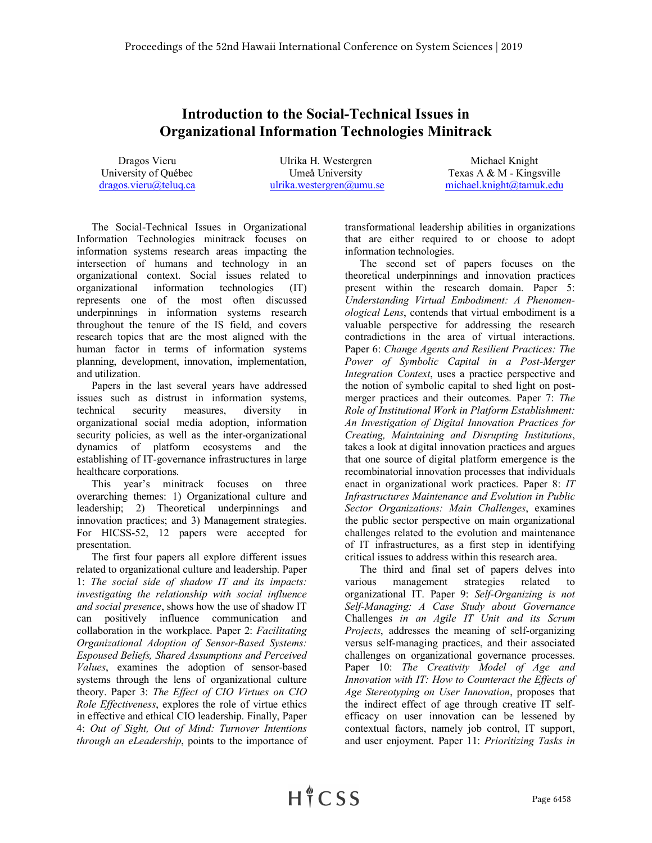## **Introduction to the Social-Technical Issues in Organizational Information Technologies Minitrack**

Dragos Vieru University of Québec dragos.vieru@teluq.ca

Ulrika H. Westergren Umeå University ulrika.westergren@umu.se

Michael Knight Texas A & M - Kingsville michael.knight@tamuk.edu

The Social-Technical Issues in Organizational Information Technologies minitrack focuses on information systems research areas impacting the intersection of humans and technology in an organizational context. Social issues related to organizational information technologies (IT) represents one of the most often discussed underpinnings in information systems research throughout the tenure of the IS field, and covers research topics that are the most aligned with the human factor in terms of information systems planning, development, innovation, implementation, and utilization.

Papers in the last several years have addressed issues such as distrust in information systems, technical security measures, diversity in organizational social media adoption, information security policies, as well as the inter-organizational dynamics of platform ecosystems and the establishing of IT-governance infrastructures in large healthcare corporations.

This year's minitrack focuses on three overarching themes: 1) Organizational culture and leadership; 2) Theoretical underpinnings and innovation practices; and 3) Management strategies. For HICSS-52, 12 papers were accepted for presentation.

The first four papers all explore different issues related to organizational culture and leadership. Paper 1: *The social side of shadow IT and its impacts: investigating the relationship with social influence and social presence*, shows how the use of shadow IT can positively influence communication and collaboration in the workplace. Paper 2: *Facilitating Organizational Adoption of Sensor-Based Systems: Espoused Beliefs, Shared Assumptions and Perceived Values*, examines the adoption of sensor-based systems through the lens of organizational culture theory. Paper 3: *The Effect of CIO Virtues on CIO Role Effectiveness*, explores the role of virtue ethics in effective and ethical CIO leadership. Finally, Paper 4: *Out of Sight, Out of Mind: Turnover Intentions through an eLeadership*, points to the importance of transformational leadership abilities in organizations that are either required to or choose to adopt information technologies.

The second set of papers focuses on the theoretical underpinnings and innovation practices present within the research domain. Paper 5: *Understanding Virtual Embodiment: A Phenomenological Lens*, contends that virtual embodiment is a valuable perspective for addressing the research contradictions in the area of virtual interactions. Paper 6: *Change Agents and Resilient Practices: The Power of Symbolic Capital in a Post-Merger Integration Context*, uses a practice perspective and the notion of symbolic capital to shed light on postmerger practices and their outcomes. Paper 7: *The Role of Institutional Work in Platform Establishment: An Investigation of Digital Innovation Practices for Creating, Maintaining and Disrupting Institutions*, takes a look at digital innovation practices and argues that one source of digital platform emergence is the recombinatorial innovation processes that individuals enact in organizational work practices. Paper 8: *IT Infrastructures Maintenance and Evolution in Public Sector Organizations: Main Challenges*, examines the public sector perspective on main organizational challenges related to the evolution and maintenance of IT infrastructures, as a first step in identifying critical issues to address within this research area.

The third and final set of papers delves into various management strategies related to organizational IT. Paper 9: *Self-Organizing is not Self-Managing: A Case Study about Governance*  Challenges *in an Agile IT Unit and its Scrum Projects*, addresses the meaning of self-organizing versus self-managing practices, and their associated challenges on organizational governance processes. Paper 10: *The Creativity Model of Age and Innovation with IT: How to Counteract the Effects of Age Stereotyping on User Innovation*, proposes that the indirect effect of age through creative IT selfefficacy on user innovation can be lessened by contextual factors, namely job control, IT support, and user enjoyment. Paper 11: *Prioritizing Tasks in*